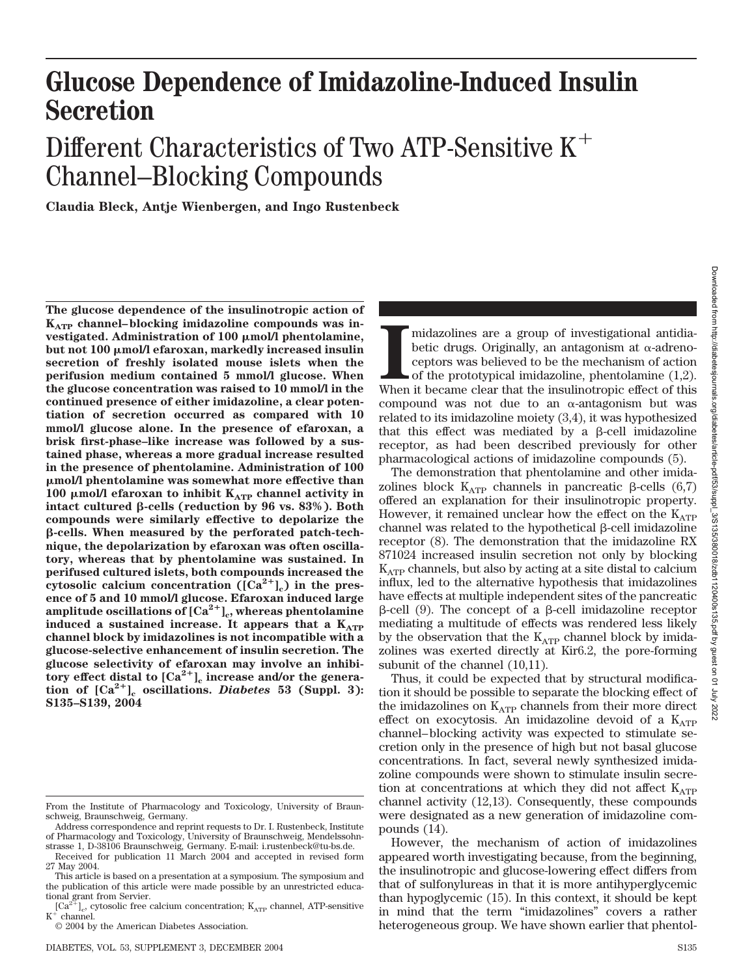**July 2022** 

## **Glucose Dependence of Imidazoline-Induced Insulin Secretion**

# Different Characteristics of Two ATP-Sensitive K Channel–Blocking Compounds

**Claudia Bleck, Antje Wienbergen, and Ingo Rustenbeck**

**The glucose dependence of the insulinotropic action of** K<sub>ATP</sub> channel-blocking imidazoline compounds was in**vestigated. Administration of 100 mol/l phentolamine, but not 100 mol/l efaroxan, markedly increased insulin secretion of freshly isolated mouse islets when the perifusion medium contained 5 mmol/l glucose. When the glucose concentration was raised to 10 mmol/l in the continued presence of either imidazoline, a clear potentiation of secretion occurred as compared with 10 mmol/l glucose alone. In the presence of efaroxan, a brisk first-phase–like increase was followed by a sustained phase, whereas a more gradual increase resulted in the presence of phentolamine. Administration of 100 mol/l phentolamine was somewhat more effective than 100**  $\mu$ mol/l efaroxan to inhibit  $K_{ATP}$  channel activity in **intact cultured β-cells (reduction by 96 vs. 83%). Both compounds were similarly effective to depolarize the** -**-cells. When measured by the perforated patch-technique, the depolarization by efaroxan was often oscillatory, whereas that by phentolamine was sustained. In perifused cultured islets, both compounds increased the** cytosolic calcium concentration  $([Ca<sup>2+</sup>]_{c})$  in the pres**ence of 5 and 10 mmol/l glucose. Efaroxan induced large** amplitude oscillations of  $\left[Ca^{2+}\right]_c$ , whereas phentolamine induced a sustained increase. It appears that a K<sub>ATP</sub> **channel block by imidazolines is not incompatible with a glucose-selective enhancement of insulin secretion. The glucose selectivity of efaroxan may involve an inhibi**tory effect distal to  $\left[\text{Ca}^{2+}\right]_c$  increase and/or the genera**tion of**  $[Ca^{2+}]$ <sub>c</sub> **oscillations.** *Diabetes* 53 (Suppl. 3): **S135–S139, 2004**

midazolines are a group of investigational antidiabetic drugs. Originally, an antagonism at  $\alpha$ -adreno-ceptors was believed to be the mechanism of action of the prototypical imidazoline, phentolamine (1,2). When it becam midazolines are a group of investigational antidiabetic drugs. Originally, an antagonism at  $\alpha$ -adrenoceptors was believed to be the mechanism of action of the prototypical imidazoline, phentolamine (1,2). compound was not due to an  $\alpha$ -antagonism but was related to its imidazoline moiety (3,4), it was hypothesized that this effect was mediated by a  $\beta$ -cell imidazoline receptor, as had been described previously for other pharmacological actions of imidazoline compounds (5).

The demonstration that phentolamine and other imidazolines block  $K_{ATP}$  channels in pancreatic  $\beta$ -cells (6,7) offered an explanation for their insulinotropic property. However, it remained unclear how the effect on the  $K_{ATP}$ channel was related to the hypothetical  $\beta$ -cell imidazoline receptor (8). The demonstration that the imidazoline RX 871024 increased insulin secretion not only by blocking  $K_{ATP}$  channels, but also by acting at a site distal to calcium influx, led to the alternative hypothesis that imidazolines have effects at multiple independent sites of the pancreatic  $\beta$ -cell (9). The concept of a  $\beta$ -cell imidazoline receptor mediating a multitude of effects was rendered less likely by the observation that the  $K_{ATP}$  channel block by imidazolines was exerted directly at Kir6.2, the pore-forming subunit of the channel  $(10,11)$ .

Thus, it could be expected that by structural modification it should be possible to separate the blocking effect of the imidazolines on  $K_{ATP}$  channels from their more direct effect on exocytosis. An imidazoline devoid of a  $K_{ATP}$ channel– blocking activity was expected to stimulate secretion only in the presence of high but not basal glucose concentrations. In fact, several newly synthesized imidazoline compounds were shown to stimulate insulin secretion at concentrations at which they did not affect  $K_{ATP}$ channel activity (12,13). Consequently, these compounds were designated as a new generation of imidazoline compounds (14).

However, the mechanism of action of imidazolines appeared worth investigating because, from the beginning, the insulinotropic and glucose-lowering effect differs from that of sulfonylureas in that it is more antihyperglycemic than hypoglycemic (15). In this context, it should be kept in mind that the term "imidazolines" covers a rather heterogeneous group. We have shown earlier that phentol-

From the Institute of Pharmacology and Toxicology, University of Braunschweig, Braunschweig, Germany.

Address correspondence and reprint requests to Dr. I. Rustenbeck, Institute of Pharmacology and Toxicology, University of Braunschweig, Mendelssohnstrasse 1, D-38106 Braunschweig, Germany. E-mail: i.rustenbeck@tu-bs.de.

Received for publication 11 March 2004 and accepted in revised form 27 May 2004.

This article is based on a presentation at a symposium. The symposium and the publication of this article were made possible by an unrestricted educational grant from Servier.

 $\rm [Ca^{2+}]_{\odot}$  cytosolic free calcium concentration;  $\rm K_{ATP}$  channel, ATP-sensitive  $\rm K^+$  channel.

<sup>© 2004</sup> by the American Diabetes Association.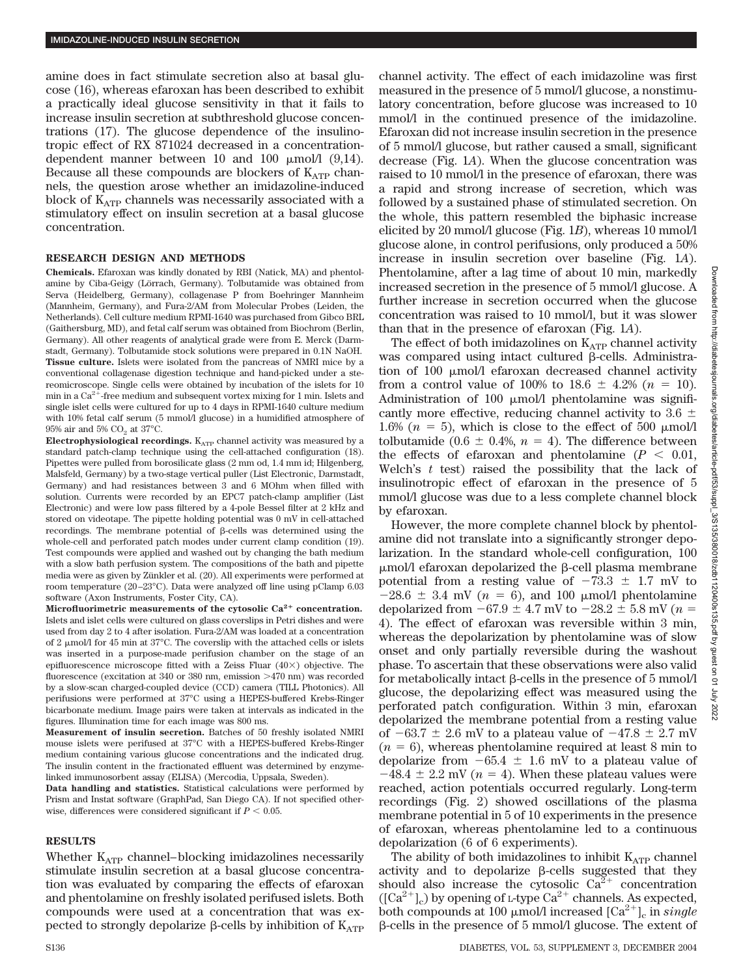amine does in fact stimulate secretion also at basal glucose (16), whereas efaroxan has been described to exhibit a practically ideal glucose sensitivity in that it fails to increase insulin secretion at subthreshold glucose concentrations (17). The glucose dependence of the insulinotropic effect of RX 871024 decreased in a concentrationdependent manner between 10 and 100  $\mu$ mol/l (9,14). Because all these compounds are blockers of  $K_{ATP}$  channels, the question arose whether an imidazoline-induced block of  $K_{ATP}$  channels was necessarily associated with a stimulatory effect on insulin secretion at a basal glucose concentration.

#### **RESEARCH DESIGN AND METHODS**

**Chemicals.** Efaroxan was kindly donated by RBI (Natick, MA) and phentolamine by Ciba-Geigy (Lörrach, Germany). Tolbutamide was obtained from Serva (Heidelberg, Germany), collagenase P from Boehringer Mannheim (Mannheim, Germany), and Fura-2/AM from Molecular Probes (Leiden, the Netherlands). Cell culture medium RPMI-1640 was purchased from Gibco BRL (Gaithersburg, MD), and fetal calf serum was obtained from Biochrom (Berlin, Germany). All other reagents of analytical grade were from E. Merck (Darmstadt, Germany). Tolbutamide stock solutions were prepared in 0.1N NaOH. **Tissue culture.** Islets were isolated from the pancreas of NMRI mice by a conventional collagenase digestion technique and hand-picked under a stereomicroscope. Single cells were obtained by incubation of the islets for 10 min in a  $Ca^{2+}$ -free medium and subsequent vortex mixing for 1 min. Islets and single islet cells were cultured for up to 4 days in RPMI-1640 culture medium with 10% fetal calf serum (5 mmol/l glucose) in a humidified atmosphere of  $95\%$  air and  $5\%$  CO<sub>2</sub> at 37°C.

**Electrophysiological recordings.** K<sub>ATP</sub> channel activity was measured by a standard patch-clamp technique using the cell-attached configuration (18). Pipettes were pulled from borosilicate glass (2 mm od, 1.4 mm id; Hilgenberg, Malsfeld, Germany) by a two-stage vertical puller (List Electronic, Darmstadt, Germany) and had resistances between 3 and 6 MOhm when filled with solution. Currents were recorded by an EPC7 patch-clamp amplifier (List Electronic) and were low pass filtered by a 4-pole Bessel filter at 2 kHz and stored on videotape. The pipette holding potential was 0 mV in cell-attached recordings. The membrane potential of  $\beta$ -cells was determined using the whole-cell and perforated patch modes under current clamp condition (19). Test compounds were applied and washed out by changing the bath medium with a slow bath perfusion system. The compositions of the bath and pipette media were as given by Zünkler et al. (20). All experiments were performed at room temperature (20 –23°C). Data were analyzed off line using pClamp 6.03 software (Axon Instruments, Foster City, CA).

Microfluorimetric measurements of the cytosolic Ca<sup>2+</sup> concentration. Islets and islet cells were cultured on glass coverslips in Petri dishes and were used from day 2 to 4 after isolation. Fura-2/AM was loaded at a concentration of 2  $\mu$ mol/l for 45 min at 37°C. The coverslip with the attached cells or islets was inserted in a purpose-made perifusion chamber on the stage of an epifluorescence microscope fitted with a Zeiss Fluar  $(40\times)$  objective. The fluorescence (excitation at 340 or 380 nm, emission >470 nm) was recorded by a slow-scan charged-coupled device (CCD) camera (TILL Photonics). All perifusions were performed at 37°C using a HEPES-buffered Krebs-Ringer bicarbonate medium. Image pairs were taken at intervals as indicated in the figures. Illumination time for each image was 800 ms.

**Measurement of insulin secretion.** Batches of 50 freshly isolated NMRI mouse islets were perifused at 37°C with a HEPES-buffered Krebs-Ringer medium containing various glucose concentrations and the indicated drug. The insulin content in the fractionated effluent was determined by enzymelinked immunosorbent assay (ELISA) (Mercodia, Uppsala, Sweden).

**Data handling and statistics.** Statistical calculations were performed by Prism and Instat software (GraphPad, San Diego CA). If not specified otherwise, differences were considered significant if  $P < 0.05$ .

## **RESULTS**

Whether  $K_{ATP}$  channel–blocking imidazolines necessarily stimulate insulin secretion at a basal glucose concentration was evaluated by comparing the effects of efaroxan and phentolamine on freshly isolated perifused islets. Both compounds were used at a concentration that was expected to strongly depolarize  $\beta$ -cells by inhibition of  $K_{ATP}$  channel activity. The effect of each imidazoline was first measured in the presence of 5 mmol/l glucose, a nonstimulatory concentration, before glucose was increased to 10 mmol/l in the continued presence of the imidazoline. Efaroxan did not increase insulin secretion in the presence of 5 mmol/l glucose, but rather caused a small, significant decrease (Fig. 1*A*). When the glucose concentration was raised to 10 mmol/l in the presence of efaroxan, there was a rapid and strong increase of secretion, which was followed by a sustained phase of stimulated secretion. On the whole, this pattern resembled the biphasic increase elicited by 20 mmol/l glucose (Fig. 1*B*), whereas 10 mmol/l glucose alone, in control perifusions, only produced a 50% increase in insulin secretion over baseline (Fig. 1*A*). Phentolamine, after a lag time of about 10 min, markedly increased secretion in the presence of 5 mmol/l glucose. A further increase in secretion occurred when the glucose concentration was raised to 10 mmol/l, but it was slower than that in the presence of efaroxan (Fig. 1*A*).

The effect of both imidazolines on  $K_{ATP}$  channel activity was compared using intact cultured  $\beta$ -cells. Administration of 100 mol/l efaroxan decreased channel activity from a control value of 100% to 18.6  $\pm$  4.2% ( $n = 10$ ). Administration of 100  $\mu$ mol/l phentolamine was significantly more effective, reducing channel activity to 3.6  $\pm$ 1.6% ( $n = 5$ ), which is close to the effect of 500  $\mu$ mol/l tolbutamide (0.6  $\pm$  0.4%,  $n = 4$ ). The difference between the effects of efaroxan and phentolamine  $(P < 0.01$ , Welch's *t* test) raised the possibility that the lack of insulinotropic effect of efaroxan in the presence of 5 mmol/l glucose was due to a less complete channel block by efaroxan.

However, the more complete channel block by phentolamine did not translate into a significantly stronger depolarization. In the standard whole-cell configuration, 100  $\mu$ mol/l efaroxan depolarized the  $\beta$ -cell plasma membrane potential from a resting value of  $-73.3 \pm 1.7$  mV to  $-28.6 \pm 3.4$  mV ( $n = 6$ ), and 100  $\mu$ mol/l phentolamine depolarized from  $-67.9 \pm 4.7$  mV to  $-28.2 \pm 5.8$  mV ( $n =$ 4). The effect of efaroxan was reversible within 3 min, whereas the depolarization by phentolamine was of slow onset and only partially reversible during the washout phase. To ascertain that these observations were also valid for metabolically intact  $\beta$ -cells in the presence of 5 mmol/l glucose, the depolarizing effect was measured using the perforated patch configuration. Within 3 min, efaroxan depolarized the membrane potential from a resting value of  $-63.7 \pm 2.6$  mV to a plateau value of  $-47.8 \pm 2.7$  mV  $(n = 6)$ , whereas phentolamine required at least 8 min to depolarize from  $-65.4 \pm 1.6$  mV to a plateau value of  $-48.4 \pm 2.2$  mV ( $n = 4$ ). When these plateau values were reached, action potentials occurred regularly. Long-term recordings (Fig. 2) showed oscillations of the plasma membrane potential in 5 of 10 experiments in the presence of efaroxan, whereas phentolamine led to a continuous depolarization (6 of 6 experiments).

The ability of both imidazolines to inhibit  $\mathrm{K}_{\mathrm{ATP}}$  channel activity and to depolarize  $\beta$ -cells suggested that they should also increase the cytosolic  $\widetilde{Ca}^{2+}$  concentration  $([Ca^{2+}]_c)$  by opening of L-type  $Ca^{2+}$  channels. As expected, both compounds at 100  $\mu$ mol/l increased  $\left[\text{Ca}^{2+}\right]_c$  in *single*  $\beta$ -cells in the presence of 5 mmol/l glucose. The extent of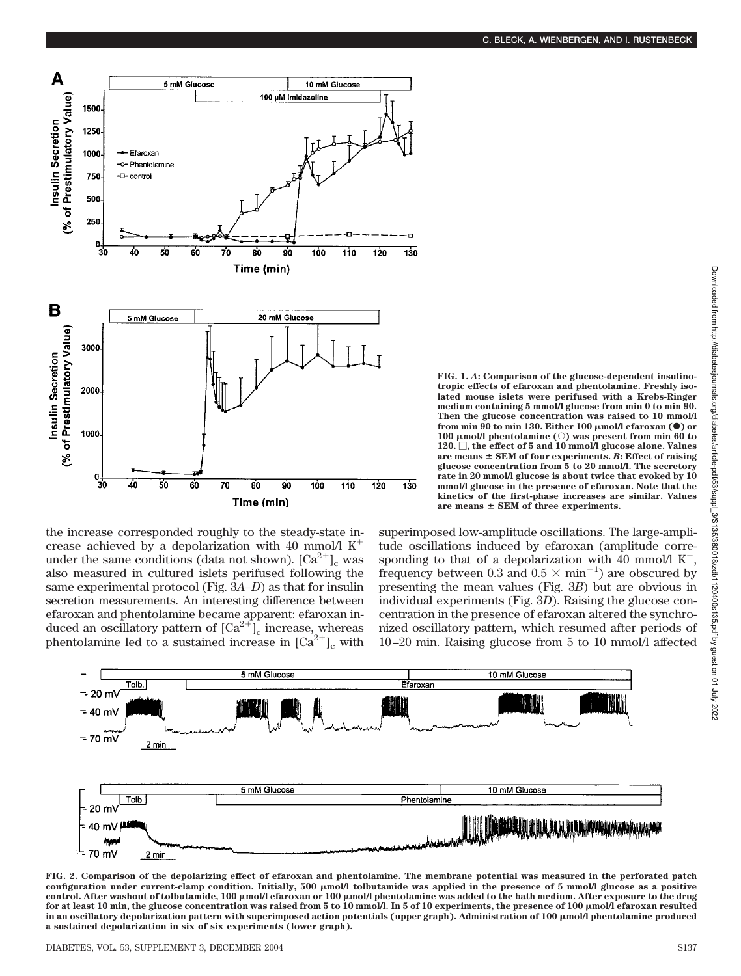

the increase corresponded roughly to the steady-state increase achieved by a depolarization with 40 mmol/l  $K^+$ under the same conditions (data not shown).  $\left[\text{Ca}^{2+}\right]_{\text{c}}$  was also measured in cultured islets perifused following the same experimental protocol (Fig. 3*A–D*) as that for insulin secretion measurements. An interesting difference between efaroxan and phentolamine became apparent: efaroxan induced an oscillatory pattern of  $\left[\text{Ca}^{2+}\right]_{c}$  increase, whereas phentolamine led to a sustained increase in  $[Ca^{2+}]_c$  with **FIG. 1.** *A***: Comparison of the glucose-dependent insulinotropic effects of efaroxan and phentolamine. Freshly isolated mouse islets were perifused with a Krebs-Ringer medium containing 5 mmol/l glucose from min 0 to min 90. Then the glucose concentration was raised to 10 mmol/l** from min 90 to min 130. Either 100  $\mu$ mol/l efaroxan ( $\bullet$ ) or **100 mol/l phentolamine (**E**) was present from min 60 to 120. , the effect of 5 and 10 mmol/l glucose alone. Values are means SEM of four experiments.** *B***: Effect of raising glucose concentration from 5 to 20 mmol/l. The secretory rate in 20 mmol/l glucose is about twice that evoked by 10 mmol/l glucose in the presence of efaroxan. Note that the kinetics of the first-phase increases are similar. Values are means SEM of three experiments.**

superimposed low-amplitude oscillations. The large-amplitude oscillations induced by efaroxan (amplitude corresponding to that of a depolarization with 40 mmol/l  $K^+$ , frequency between 0.3 and  $0.5 \times \text{min}^{-1}$ ) are obscured by presenting the mean values (Fig. 3*B*) but are obvious in individual experiments (Fig. 3*D*). Raising the glucose concentration in the presence of efaroxan altered the synchronized oscillatory pattern, which resumed after periods of 10 –20 min. Raising glucose from 5 to 10 mmol/l affected



**FIG. 2. Comparison of the depolarizing effect of efaroxan and phentolamine. The membrane potential was measured in the perforated patch configuration under current-clamp condition. Initially, 500 mol/l tolbutamide was applied in the presence of 5 mmol/l glucose as a positive control. After washout of tolbutamide, 100 mol/l efaroxan or 100 mol/l phentolamine was added to the bath medium. After exposure to the drug for at least 10 min, the glucose concentration was raised from 5 to 10 mmol/l. In 5 of 10 experiments, the presence of 100 mol/l efaroxan resulted in an oscillatory depolarization pattern with superimposed action potentials (upper graph). Administration of 100 mol/l phentolamine produced a sustained depolarization in six of six experiments (lower graph).**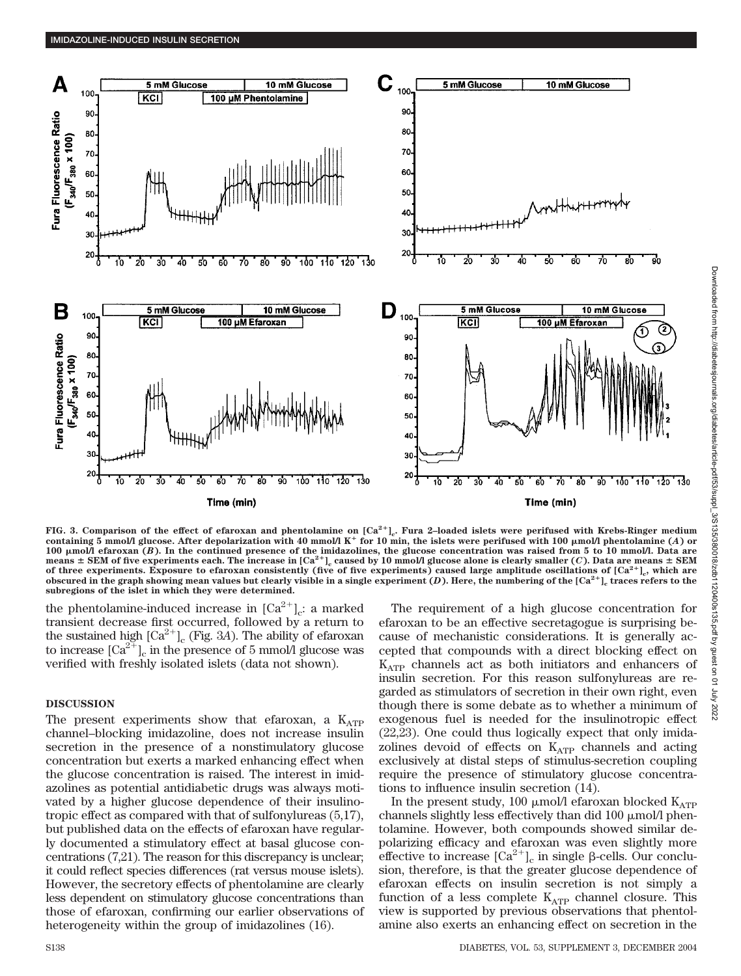

FIG. 3. Comparison of the effect of efaroxan and phentolamine on  $[Ca^{2+}]_c$ . Fura 2-loaded islets were perifused with Krebs-Ringer medium containing  $5 \text{ mmol/l}$  glucose. After depolarization with 40 mmol/l K<sup>+</sup> for 10 min, the islets were perifused with 100  $\mu$ mol/l phentolamine (*A*) or **100 mol/l efaroxan (***B***). In the continued presence of the imidazolines, the glucose concentration was raised from 5 to 10 mmol/l. Data are** means  $\pm$  SEM of five experiments each. The increase in  $[Ca^{2+}]_c$  caused by 10 mmol/l glucose alone is clearly smaller (*C*). Data are means  $\pm$  SEM **of three experiments. Exposure to efaroxan consistently (five of five experiments) caused large amplitude oscillations of [Ca2]c, which are obscured in the graph showing mean values but clearly visible in a single experiment (***D***). Here, the numbering of the [Ca2]c traces refers to the subregions of the islet in which they were determined.**

the phentolamine-induced increase in  $[Ca^{2+}]_c$ : a marked transient decrease first occurred, followed by a return to the sustained high  $\lbrack Ca^{2+}\rbrack _c$  (Fig. 3*A*). The ability of efaroxan to increase  $[\text{Ca}^{2+}]_c$  in the presence of 5 mmol/l glucose was verified with freshly isolated islets (data not shown).

## **DISCUSSION**

The present experiments show that efaroxan, a  $K_{ATP}$ channel–blocking imidazoline, does not increase insulin secretion in the presence of a nonstimulatory glucose concentration but exerts a marked enhancing effect when the glucose concentration is raised. The interest in imidazolines as potential antidiabetic drugs was always motivated by a higher glucose dependence of their insulinotropic effect as compared with that of sulfonylureas (5,17), but published data on the effects of efaroxan have regularly documented a stimulatory effect at basal glucose concentrations (7,21). The reason for this discrepancy is unclear; it could reflect species differences (rat versus mouse islets). However, the secretory effects of phentolamine are clearly less dependent on stimulatory glucose concentrations than those of efaroxan, confirming our earlier observations of heterogeneity within the group of imidazolines (16).

The requirement of a high glucose concentration for efaroxan to be an effective secretagogue is surprising because of mechanistic considerations. It is generally accepted that compounds with a direct blocking effect on  $K_{ATP}$  channels act as both initiators and enhancers of insulin secretion. For this reason sulfonylureas are regarded as stimulators of secretion in their own right, even though there is some debate as to whether a minimum of exogenous fuel is needed for the insulinotropic effect (22,23). One could thus logically expect that only imidazolines devoid of effects on  $K_{ATP}$  channels and acting exclusively at distal steps of stimulus-secretion coupling require the presence of stimulatory glucose concentrations to influence insulin secretion (14).

In the present study, 100  $\mu$ mol/l efaroxan blocked K<sub>ATP</sub> channels slightly less effectively than did  $100 \mu$  mol/l phentolamine. However, both compounds showed similar depolarizing efficacy and efaroxan was even slightly more effective to increase  $\lbrack Ca^{2+}\rbrack _c$  in single  $\beta$ -cells. Our conclusion, therefore, is that the greater glucose dependence of efaroxan effects on insulin secretion is not simply a function of a less complete  $K_{ATP}$  channel closure. This view is supported by previous observations that phentolamine also exerts an enhancing effect on secretion in the